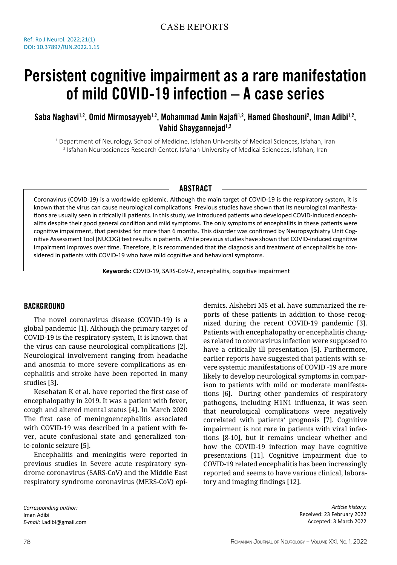# Persistent cognitive impairment as a rare manifestation of mild COVID-19 infection – A case series

Saba Naghavi<sup>1,2</sup>, Omid Mirmosayyeb<sup>1,2</sup>, Mohammad Amin Najafi<sup>1,2</sup>, Hamed Ghoshouni<sup>2</sup>, Iman Adibi<sup>1,2</sup>, Vahid Shavgannejad<sup>1,2</sup>

 $^{\rm 1}$  Department of Neurology, School of Medicine, Isfahan University of Medical Sciences, Isfahan, Iran 2 Isfahan Neurosciences Research Center, Isfahan University of Medical Scieneces, Isfahan, Iran

## **ABSTRACT**

Coronavirus (COVID-19) is a worldwide epidemic. Although the main target of COVID-19 is the respiratory system, it is known that the virus can cause neurological complications. Previous studies have shown that its neurological manifestations are usually seen in critically ill patients. In this study, we introduced patients who developed COVID-induced encephalitis despite their good general condition and mild symptoms. The only symptoms of encephalitis in these patients were cognitive impairment, that persisted for more than 6 months. This disorder was confirmed by Neuropsychiatry Unit Cognitive Assessment Tool (NUCOG) test results in patients. While previous studies have shown that COVID-induced cognitive impairment improves over time. Therefore, it is recommended that the diagnosis and treatment of encephalitis be considered in patients with COVID-19 who have mild cognitive and behavioral symptoms.

**Keywords:** COVID-19, SARS-CoV-2, encephalitis, cognitive impairment

# **BACKGROUND**

The novel coronavirus disease (COVID-19) is a global pandemic [1]. Although the primary target of COVID-19 is the respiratory system, It is known that the virus can cause neurological complications [2]. Neurological involvement ranging from headache and anosmia to more severe complications as encephalitis and stroke have been reported in many studies [3].

Kesehatan K et al. have reported the first case of encephalopathy in 2019. It was a patient with fever, cough and altered mental status [4]. In March 2020 The first case of meningoencephalitis associated with COVID-19 was described in a patient with fever, acute confusional state and generalized tonic-colonic seizure [5].

Encephalitis and meningitis were reported in previous studies in Severe acute respiratory syndrome coronavirus (SARS-CoV) and the Middle East respiratory syndrome coronavirus (MERS-CoV) epi-

demics. Alshebri MS et al. have summarized the reports of these patients in addition to those recognized during the recent COVID-19 pandemic [3]. Patients with encephalopathy or encephalitis changes related to coronavirus infection were supposed to have a critically ill presentation [5]. Furthermore, earlier reports have suggested that patients with severe systemic manifestations of COVID -19 are more likely to develop neurological symptoms in comparison to patients with mild or moderate manifestations [6]. During other pandemics of respiratory pathogens, including H1N1 influenza, it was seen that neurological complications were negatively correlated with patients' prognosis [7]. Cognitive impairment is not rare in patients with viral infections [8-10], but it remains unclear whether and how the COVID-19 infection may have cognitive presentations [11]. Cognitive impairment due to COVID-19 related encephalitis has been increasingly reported and seems to have various clinical, laboratory and imaging findings [12].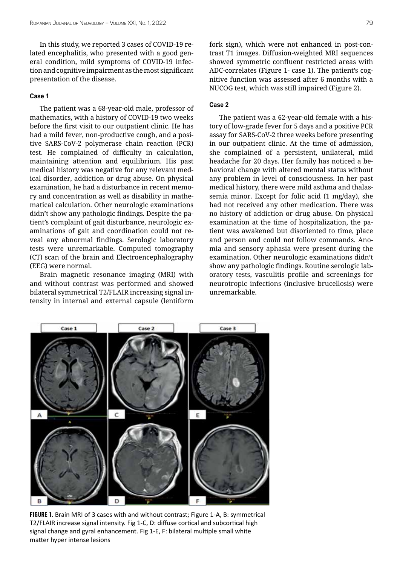In this study, we reported 3 cases of COVID-19 related encephalitis, who presented with a good general condition, mild symptoms of COVID-19 infection and cognitive impairment as the most significant presentation of the disease.

### **Case 1**

The patient was a 68-year-old male, professor of mathematics, with a history of COVID-19 two weeks before the first visit to our outpatient clinic. He has had a mild fever, non-productive cough, and a positive SARS-CoV-2 polymerase chain reaction (PCR) test. He complained of difficulty in calculation, maintaining attention and equilibrium. His past medical history was negative for any relevant medical disorder, addiction or drug abuse. On physical examination, he had a disturbance in recent memory and concentration as well as disability in mathematical calculation. Other neurologic examinations didn't show any pathologic findings. Despite the patient's complaint of gait disturbance, neurologic examinations of gait and coordination could not reveal any abnormal findings. Serologic laboratory tests were unremarkable. Computed tomography (CT) scan of the brain and Electroencephalography (EEG) were normal.

Brain magnetic resonance imaging (MRI) with and without contrast was performed and showed bilateral symmetrical T2/FLAIR increasing signal intensity in internal and external capsule (lentiform fork sign), which were not enhanced in post-contrast T1 images. Diffusion-weighted MRI sequences showed symmetric confluent restricted areas with ADC-correlates (Figure 1- case 1). The patient's cognitive function was assessed after 6 months with a NUCOG test, which was still impaired (Figure 2).

#### **Case 2**

The patient was a 62-year-old female with a history of low-grade fever for 5 days and a positive PCR assay for SARS-CoV-2 three weeks before presenting in our outpatient clinic. At the time of admission, she complained of a persistent, unilateral, mild headache for 20 days. Her family has noticed a behavioral change with altered mental status without any problem in level of consciousness. In her past medical history, there were mild asthma and thalassemia minor. Except for folic acid (1 mg/day), she had not received any other medication. There was no history of addiction or drug abuse. On physical examination at the time of hospitalization, the patient was awakened but disoriented to time, place and person and could not follow commands. Anomia and sensory aphasia were present during the examination. Other neurologic examinations didn't show any pathologic findings. Routine serologic laboratory tests, vasculitis profile and screenings for neurotropic infections (inclusive brucellosis) were unremarkable.

Case 1 Case 2 Case 3  $\epsilon$ Ė

FIGURE 1. Brain MRI of 3 cases with and without contrast; Figure 1-A, B: symmetrical T2/FLAIR increase signal intensity. Fig 1-C, D: diffuse cortical and subcortical high signal change and gyral enhancement. Fig 1-E, F: bilateral multiple small white matter hyper intense lesions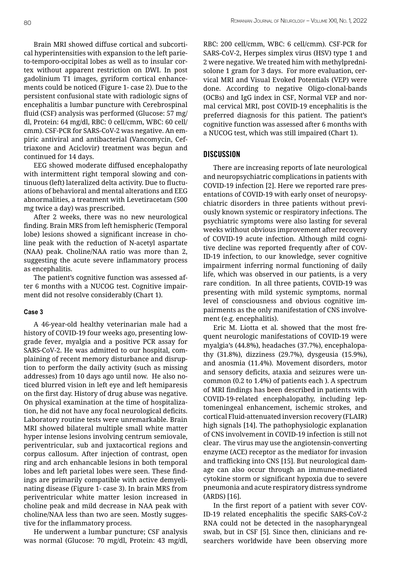Brain MRI showed diffuse cortical and subcortical hyperintensities with expansion to the left parieto-temporo-occipital lobes as well as to insular cortex without apparent restriction on DWI. In post gadolinium T1 images, gyriform cortical enhancements could be noticed (Figure 1- case 2). Due to the persistent confusional state with radiologic signs of encephalitis a lumbar puncture with Cerebrospinal fluid (CSF) analysis was performed (Glucose: 57 mg/ dl, Protein: 64 mg/dl, RBC: 0 cell/cmm, WBC: 60 cell/ cmm). CSF-PCR for SARS-CoV-2 was negative. An empiric antiviral and antibacterial (Vancomycin, Ceftriaxone and Aciclovir) treatment was begun and continued for 14 days.

EEG showed moderate diffused encephalopathy with intermittent right temporal slowing and continuous (left) lateralized delta activity. Due to fluctuations of behavioral and mental alterations and EEG abnormalities, a treatment with Levetiracetam (500 mg twice a day) was prescribed.

After 2 weeks, there was no new neurological finding. Brain MRS from left hemispheric (Temporal lobe) lesions showed a significant increase in choline peak with the reduction of N-acetyl aspartate (NAA) peak. Choline/NAA ratio was more than 2, suggesting the acute severe inflammatory process as encephalitis.

The patient's cognitive function was assessed after 6 months with a NUCOG test. Cognitive impairment did not resolve considerably (Chart 1).

#### **Case 3**

A 46-year-old healthy veterinarian male had a history of COVID-19 four weeks ago, presenting lowgrade fever, myalgia and a positive PCR assay for SARS-CoV-2. He was admitted to our hospital, complaining of recent memory disturbance and disruption to perform the daily activity (such as missing addresses) from 10 days ago until now. He also noticed blurred vision in left eye and left hemiparesis on the first day. History of drug abuse was negative. On physical examination at the time of hospitalization, he did not have any focal neurological deficits. Laboratory routine tests were unremarkable. Brain MRI showed bilateral multiple small white matter hyper intense lesions involving centrum semiovale, periventricular, sub and juxtacortical regions and corpus callosum. After injection of contrast, open ring and arch enhancable lesions in both temporal lobes and left parietal lobes were seen. These findings are primarily compatible with active demyelinating disease (Figure 1- case 3). In brain MRS from periventricular white matter lesion increased in choline peak and mild decrease in NAA peak with choline/NAA less than two are seen. Mostly suggestive for the inflammatory process.

He underwent a lumbar puncture; CSF analysis was normal (Glucose: 70 mg/dl, Protein: 43 mg/dl,

RBC: 200 cell/cmm, WBC: 6 cell/cmm). CSF-PCR for SARS-CoV-2, Herpes simplex virus (HSV) type 1 and 2 were negative. We treated him with methylprednisolone 1 gram for 3 days. For more evaluation, cervical MRI and Visual Evoked Potentials (VEP) were done. According to negative Oligo-clonal-bands (OCBs) and IgG index in CSF, Normal VEP and normal cervical MRI, post COVID-19 encephalitis is the preferred diagnosis for this patient. The patient's cognitive function was assessed after 6 months with a NUCOG test, which was still impaired (Chart 1).

# **DISCUSSION**

There are increasing reports of late neurological and neuropsychiatric complications in patients with COVID-19 infection [2]. Here we reported rare presentations of COVID-19 with early onset of neuropsychiatric disorders in three patients without previously known systemic or respiratory infections. The psychiatric symptoms were also lasting for several weeks without obvious improvement after recovery of COVID-19 acute infection. Although mild cognitive decline was reported frequently after of COV-ID-19 infection, to our knowledge, sever cognitive impairment inferring normal functioning of daily life, which was observed in our patients, is a very rare condition. In all three patients, COVID-19 was presenting with mild systemic symptoms, normal level of consciousness and obvious cognitive impairments as the only manifestation of CNS involvement (e.g. encephalitis).

Eric M. Liotta et al. showed that the most frequent neurologic manifestations of COVID-19 were myalgia's (44.8%), headaches (37.7%), encephalopathy (31.8%), dizziness (29.7%), dysgeusia (15.9%), and anosmia (11.4%). Movement disorders, motor and sensory deficits, ataxia and seizures were uncommon (0.2 to 1.4%) of patients each ). A spectrum of MRI findings has been described in patients with COVID-19-related encephalopathy, including leptomeningeal enhancement, ischemic strokes, and cortical Fluid-attenuated inversion recovery (FLAIR) high signals [14]. The pathophysiologic explanation of CNS involvement in COVID-19 infection is still not clear. The virus may use the angiotensin-converting enzyme (ACE) receptor as the mediator for invasion and trafficking into CNS [15]. But neurological damage can also occur through an immune-mediated cytokine storm or significant hypoxia due to severe pneumonia and acute respiratory distress syndrome (ARDS) [16].

In the first report of a patient with sever COV-ID-19 related encephalitis the specific SARS-CoV-2 RNA could not be detected in the nasopharyngeal swab, but in CSF [5]. Since then, clinicians and researchers worldwide have been observing more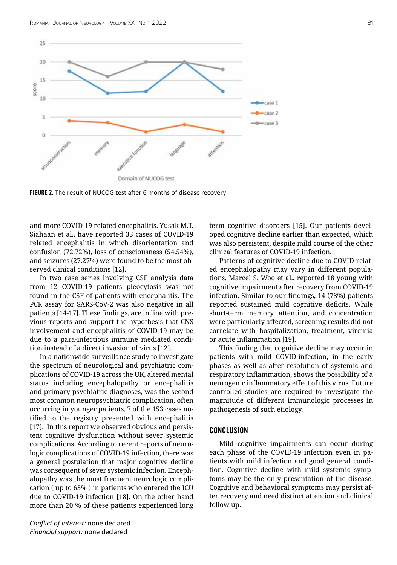

FIGURE 2. The result of NUCOG test after 6 months of disease recovery

and more COVID-19 related encephalitis. Yusak M.T. Siahaan et al., have reported 33 cases of COVID-19 related encephalitis in which disorientation and confusion (72.72%), loss of consciousness (54.54%), and seizures (27.27%) were found to be the most observed clinical conditions [12].

In two case series involving CSF analysis data from 12 COVID-19 patients pleocytosis was not found in the CSF of patients with encephalitis. The PCR assay for SARS-CoV-2 was also negative in all patients [14-17]. These findings, are in line with previous reports and support the hypothesis that CNS involvement and encephalitis of COVID-19 may be due to a para-infectious immune mediated condition instead of a direct invasion of virus [12].

In a nationwide surveillance study to investigate the spectrum of neurological and psychiatric complications of COVID-19 across the UK, altered mental status including encephalopathy or encephalitis and primary psychiatric diagnoses, was the second most common neuropsychiatric complication, often occurring in younger patients, 7 of the 153 cases notified to the registry presented with encephalitis [17]. In this report we observed obvious and persistent cognitive dysfunction without sever systemic complications. According to recent reports of neurologic complications of COVID-19 infection, there was a general postulation that major cognitive decline was consequent of sever systemic infection. Encephalopathy was the most frequent neurologic complication ( up to 63% ) in patients who entered the ICU due to COVID-19 infection [18]. On the other hand more than 20 % of these patients experienced long term cognitive disorders [15]. Our patients developed cognitive decline earlier than expected, which was also persistent, despite mild course of the other clinical features of COVID-19 infection.

Patterns of cognitive decline due to COVID-related encephalopathy may vary in different populations. Marcel S. Woo et al., reported 18 young with cognitive impairment after recovery from COVID-19 infection. Similar to our findings, 14 (78%) patients reported sustained mild cognitive deficits. While short-term memory, attention, and concentration were particularly affected, screening results did not correlate with hospitalization, treatment, viremia or acute inflammation [19].

This finding that cognitive decline may occur in patients with mild COVID-infection, in the early phases as well as after resolution of systemic and respiratory inflammation, shows the possibility of a neurogenic inflammatory effect of this virus. Future controlled studies are required to investigate the magnitude of different immunologic processes in pathogenesis of such etiology.

#### **CONCLUSION**

Mild cognitive impairments can occur during each phase of the COVID-19 infection even in patients with mild infection and good general condition. Cognitive decline with mild systemic symptoms may be the only presentation of the disease. Cognitive and behavioral symptoms may persist after recovery and need distinct attention and clinical follow up.